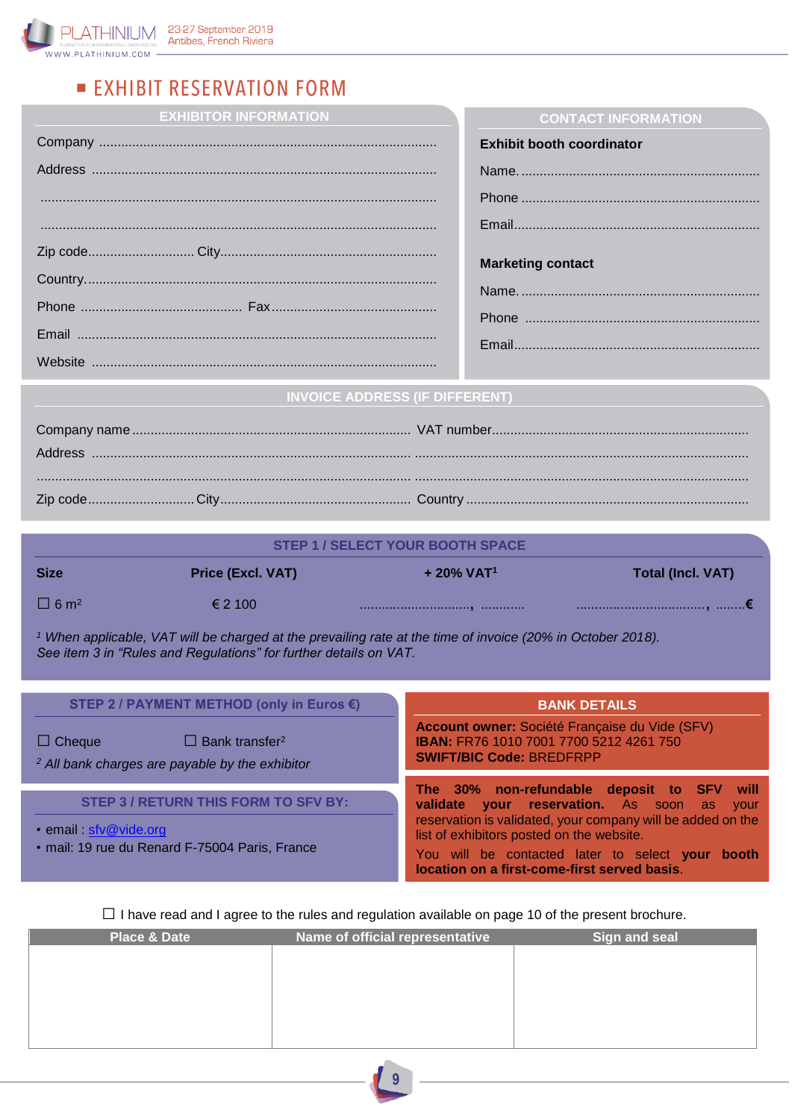

# **EXHIBIT RESERVATION FORM**

**EXHIBITOR INFORMATION**

| <b>Exhibit booth coordinator</b> |
|----------------------------------|
|                                  |
|                                  |
|                                  |
| <b>Marketing contact</b>         |
|                                  |
|                                  |
|                                  |
|                                  |

**CONTACT INFORMATION**

## **INVOICE ADDRESS (IF DIFFERENT)**

| STEP 1 / SELECT YOUR BOOTH SPACE |                          |                          |                          |  |
|----------------------------------|--------------------------|--------------------------|--------------------------|--|
| <b>Size</b>                      | <b>Price (Excl. VAT)</b> | $+20\%$ VAT <sup>1</sup> | <b>Total (Incl. VAT)</b> |  |
| $\Box$ 6 m <sup>2</sup>          | $\epsilon$ 2 100         |                          |                          |  |

*<sup>1</sup> When applicable, VAT will be charged at the prevailing rate at the time of invoice (20% in October 2018). See item 3 in "Rules and Regulations" for further details on VAT.*

| STEP 2 / PAYMENT METHOD (only in Euros $\epsilon$ )                                                              | <b>BANK DETAILS</b>                                                                                                                                        |  |
|------------------------------------------------------------------------------------------------------------------|------------------------------------------------------------------------------------------------------------------------------------------------------------|--|
| $\Box$ Bank transfer <sup>2</sup><br>$\Box$ Cheque<br><sup>2</sup> All bank charges are payable by the exhibitor | Account owner: Société Française du Vide (SFV)<br>IBAN: FR76 1010 7001 7700 5212 4261 750<br><b>SWIFT/BIC Code: BREDFRPP</b>                               |  |
| <b>STEP 3 / RETURN THIS FORM TO SFV BY:</b>                                                                      | The 30% non-refundable deposit to SFV will<br>validate your reservation. As soon as<br>vour<br>reservation is validated, your company will be added on the |  |
| · email: sfv@vide.org<br>· mail: 19 rue du Renard F-75004 Paris, France                                          | list of exhibitors posted on the website.<br>You will be contacted later to select your booth<br>location on a first-come-first served basis.              |  |

 $\square$  I have read and I agree to the rules and regulation available on page 10 of the present brochure.

| <b>Place &amp; Date</b> | Name of official representative | Sign and seal |
|-------------------------|---------------------------------|---------------|
|                         |                                 |               |
|                         |                                 |               |
|                         |                                 |               |
|                         |                                 |               |
|                         |                                 |               |